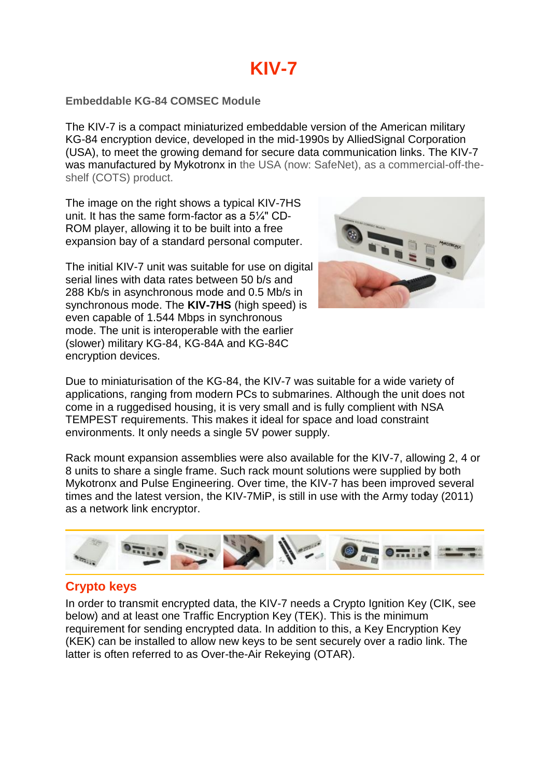## **Embeddable KG-84 COMSEC Module**

The KIV-7 is a compact miniaturized embeddable version of the American military KG-84 encryption device, developed in the mid-1990s by AlliedSignal Corporation (USA), to meet the growing demand for secure data communication links. The KIV-7 was manufactured by Mykotronx in the USA (now: SafeNet), as a commercial-off-theshelf (COTS) product.

The image on the right shows a typical KIV-7HS unit. It has the same form-factor as a 5¼" CD-ROM player, allowing it to be built into a free expansion bay of a standard personal computer.

The initial KIV-7 unit was suitable for use on digital serial lines with data rates between 50 b/s and 288 Kb/s in asynchronous mode and 0.5 Mb/s in synchronous mode. The **KIV-7HS** (high speed) is even capable of 1.544 Mbps in synchronous mode. The unit is interoperable with the earlier (slower) military KG-84, KG-84A and KG-84C encryption devices.



Due to miniaturisation of the KG-84, the KIV-7 was suitable for a wide variety of applications, ranging from modern PCs to submarines. Although the unit does not come in a ruggedised housing, it is very small and is fully complient with NSA TEMPEST requirements. This makes it ideal for space and load constraint environments. It only needs a single 5V power supply.

Rack mount expansion assemblies were also available for the KIV-7, allowing 2, 4 or 8 units to share a single frame. Such rack mount solutions were supplied by both Mykotronx and Pulse Engineering. Over time, the KIV-7 has been improved several times and the latest version, the KIV-7MiP, is still in use with the Army today (2011) as a network link encryptor.



## **Crypto keys**

In order to transmit encrypted data, the KIV-7 needs a Crypto Ignition Key (CIK, see below) and at least one Traffic Encryption Key (TEK). This is the minimum requirement for sending encrypted data. In addition to this, a Key Encryption Key (KEK) can be installed to allow new keys to be sent securely over a radio link. The latter is often referred to as Over-the-Air Rekeying (OTAR).

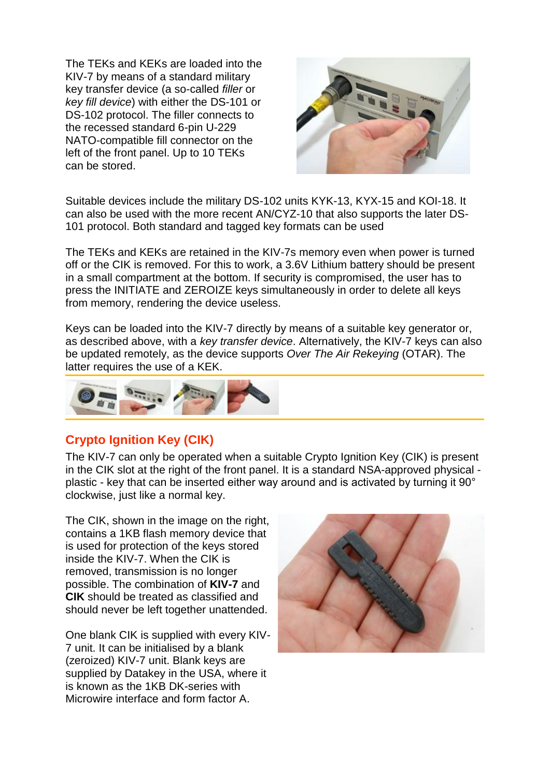The TEKs and KEKs are loaded into the KIV-7 by means of a standard military key transfer device (a so-called *filler* or *key fill device*) with either the DS-101 or DS-102 protocol. The filler connects to the recessed standard 6-pin U-229 NATO-compatible fill connector on the left of the front panel. Up to 10 TEKs can be stored.



Suitable devices include the military DS-102 units KYK-13, KYX-15 and KOI-18. It can also be used with the more recent AN/CYZ-10 that also supports the later DS-101 protocol. Both standard and tagged key formats can be used

The TEKs and KEKs are retained in the KIV-7s memory even when power is turned off or the CIK is removed. For this to work, a 3.6V Lithium battery should be present in a small compartment at the bottom. If security is compromised, the user has to press the INITIATE and ZEROIZE keys simultaneously in order to delete all keys from memory, rendering the device useless.

Keys can be loaded into the KIV-7 directly by means of a suitable key generator or, as described above, with a *key transfer device*. Alternatively, the KIV-7 keys can also be updated remotely, as the device supports *Over The Air Rekeying* (OTAR). The latter requires the use of a KEK.



## **Crypto Ignition Key (CIK)**

The KIV-7 can only be operated when a suitable Crypto Ignition Key (CIK) is present in the CIK slot at the right of the front panel. It is a standard NSA-approved physical plastic - key that can be inserted either way around and is activated by turning it 90° clockwise, just like a normal key.

The CIK, shown in the image on the right. contains a 1KB flash memory device that is used for protection of the keys stored inside the KIV-7. When the CIK is removed, transmission is no longer possible. The combination of **KIV-7** and **CIK** should be treated as classified and should never be left together unattended.

One blank CIK is supplied with every KIV-7 unit. It can be initialised by a blank (zeroized) KIV-7 unit. Blank keys are supplied by Datakey in the USA, where it is known as the 1KB DK-series with Microwire interface and form factor A.